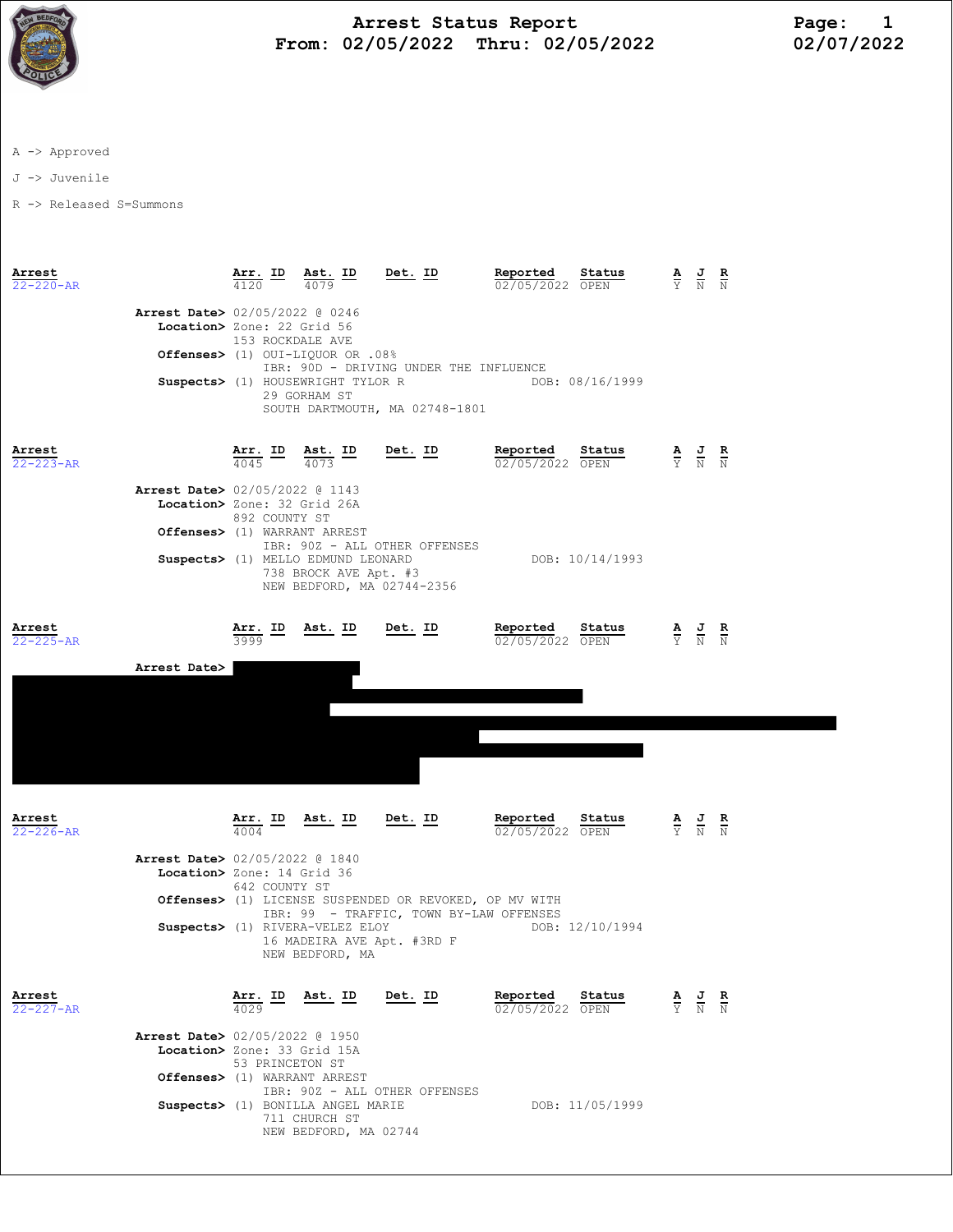

## Arrest Status Report Page: 1 From: 02/05/2022 Thru: 02/05/2022

A -> Approved

J -> Juvenile

R -> Released S=Summons

| Arrest<br>$22 - 220 - AR$                 | Arr. ID Ast. ID<br>Det. ID<br>4079<br>4120                                                                                                                                                                                                                                                    | Reported<br>Status<br>02/05/2022 OPEN                    | $\frac{\mathbf{A}}{\mathbf{Y}}$ $\frac{\mathbf{J}}{\mathbf{N}}$ $\frac{\mathbf{R}}{\mathbf{N}}$ |
|-------------------------------------------|-----------------------------------------------------------------------------------------------------------------------------------------------------------------------------------------------------------------------------------------------------------------------------------------------|----------------------------------------------------------|-------------------------------------------------------------------------------------------------|
|                                           | <b>Arrest Date&gt; 02/05/2022 @ 0246</b><br>Location> Zone: 22 Grid 56<br>153 ROCKDALE AVE<br>Offenses> (1) OUI-LIQUOR OR .08%<br>IBR: 90D - DRIVING UNDER THE INFLUENCE<br>Suspects> (1) HOUSEWRIGHT TYLOR R<br>29 GORHAM ST<br>SOUTH DARTMOUTH, MA 02748-1801                               | DOB: 08/16/1999                                          |                                                                                                 |
| Arrest<br>$22 - 223 - AR$                 | $\frac{\texttt{Arr.}}{4045}$ ID<br>$\frac{\text{Ast.}}{4072}$ ID<br><u>Det. ID</u><br>4073<br><b>Arrest Date&gt; 02/05/2022 @ 1143</b><br>Location> Zone: 32 Grid 26A<br>892 COUNTY ST<br>Offenses> (1) WARRANT ARREST<br>IBR: 90Z - ALL OTHER OFFENSES<br>Suspects> (1) MELLO EDMUND LEONARD | Reported<br>Status<br>02/05/2022 OPEN<br>DOB: 10/14/1993 | $\frac{\mathbf{A}}{\mathbf{Y}}$ $\frac{\mathbf{J}}{\mathbf{N}}$ $\frac{\mathbf{R}}{\mathbf{N}}$ |
| Arrest<br>$22 - 225 - AR$<br>Arrest Date> | 738 BROCK AVE Apt. #3<br>NEW BEDFORD, MA 02744-2356<br>Arr. ID<br>Ast. ID<br>Det. ID<br>3999                                                                                                                                                                                                  | Reported<br>Status<br>02/05/2022 OPEN                    | $\frac{\mathbf{A}}{\mathbf{Y}}$ $\frac{\mathbf{J}}{\mathbf{N}}$ $\frac{\mathbf{R}}{\mathbf{N}}$ |
| Arrest                                    | <u>Arr. ID</u><br><u>Ast. ID</u><br>Det. ID                                                                                                                                                                                                                                                   | Reported<br>Status                                       | $\frac{\mathbf{A}}{\mathbf{Y}}$ $\frac{\mathbf{J}}{\mathbf{N}}$ $\frac{\mathbf{R}}{\mathbf{N}}$ |
| $22 - 226 - AR$                           | 4004<br><b>Arrest Date&gt; 02/05/2022 @ 1840</b><br>Location> Zone: 14 Grid 36<br>642 COUNTY ST<br>Offenses> (1) LICENSE SUSPENDED OR REVOKED, OP MV WITH<br>IBR: 99 - TRAFFIC, TOWN BY-LAW OFFENSES<br>Suspects> (1) RIVERA-VELEZ ELOY<br>16 MADEIRA AVE Apt. #3RD F<br>NEW BEDFORD, MA      | 02/05/2022 OPEN<br>DOB: 12/10/1994                       |                                                                                                 |
| Arrest<br>$22 - 227 - AR$                 | Ast. ID<br>Det. ID<br>Arr. ID<br>4029<br><b>Arrest Date&gt;</b> 02/05/2022 @ 1950<br>Location> Zone: 33 Grid 15A<br>53 PRINCETON ST<br>Offenses> (1) WARRANT ARREST                                                                                                                           | Reported<br>Status<br>02/05/2022 OPEN                    | $\frac{\mathbf{A}}{\nabla}$<br>$rac{\mathbf{R}}{N}$                                             |
|                                           | IBR: 90Z - ALL OTHER OFFENSES<br>Suspects> (1) BONILLA ANGEL MARIE<br>711 CHURCH ST<br>NEW BEDFORD, MA 02744                                                                                                                                                                                  | DOB: 11/05/1999                                          |                                                                                                 |